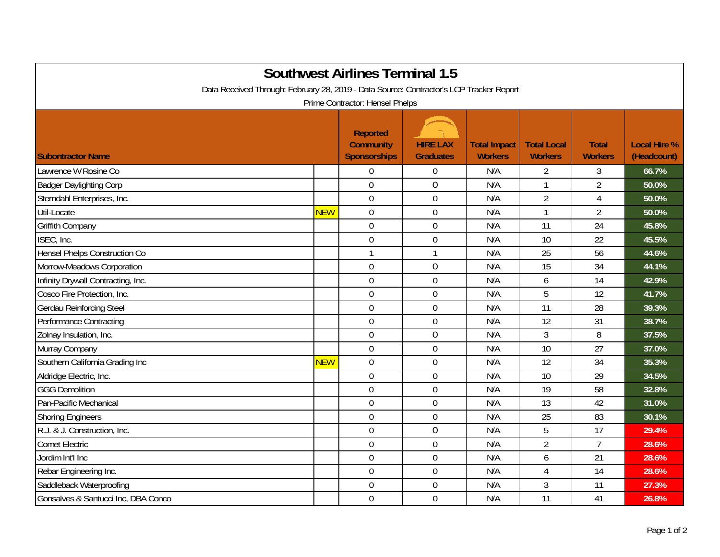| <b>Southwest Airlines Terminal 1.5</b><br>Data Received Through: February 28, 2019 - Data Source: Contractor's LCP Tracker Report |            |                                                     |                                     |                                       |                                      |                                |                                    |  |  |  |  |
|-----------------------------------------------------------------------------------------------------------------------------------|------------|-----------------------------------------------------|-------------------------------------|---------------------------------------|--------------------------------------|--------------------------------|------------------------------------|--|--|--|--|
| Prime Contractor: Hensel Phelps                                                                                                   |            |                                                     |                                     |                                       |                                      |                                |                                    |  |  |  |  |
| <b>Subontractor Name</b>                                                                                                          |            | <b>Reported</b><br><b>Community</b><br>Sponsorships | <b>HIRE LAX</b><br><b>Graduates</b> | <b>Total Impact</b><br><b>Workers</b> | <b>Total Local</b><br><b>Workers</b> | <b>Total</b><br><b>Workers</b> | <b>Local Hire %</b><br>(Headcount) |  |  |  |  |
| Lawrence W Rosine Co                                                                                                              |            | $\overline{0}$                                      | 0                                   | N/A                                   | 2                                    | 3                              | 66.7%                              |  |  |  |  |
| <b>Badger Daylighting Corp</b>                                                                                                    |            | $\mathbf 0$                                         | $\overline{0}$                      | N/A                                   | $\overline{1}$                       | $\overline{2}$                 | 50.0%                              |  |  |  |  |
| Sterndahl Enterprises, Inc.                                                                                                       |            | $\mathbf 0$                                         | $\overline{0}$                      | N/A                                   | $\overline{2}$                       | $\overline{4}$                 | 50.0%                              |  |  |  |  |
| Util-Locate                                                                                                                       | <b>NEW</b> | $\mathbf 0$                                         | 0                                   | N/A                                   |                                      | $\overline{2}$                 | 50.0%                              |  |  |  |  |
| <b>Griffith Company</b>                                                                                                           |            | $\mathbf 0$                                         | 0                                   | N/A                                   | 11                                   | 24                             | 45.8%                              |  |  |  |  |
| ISEC, Inc.                                                                                                                        |            | $\mathbf 0$                                         | $\mathbf 0$                         | N/A                                   | 10                                   | 22                             | 45.5%                              |  |  |  |  |
| <b>Hensel Phelps Construction Co</b>                                                                                              |            | $\mathbf{1}$                                        | $\mathbf{1}$                        | N/A                                   | 25                                   | 56                             | 44.6%                              |  |  |  |  |
| Morrow-Meadows Corporation                                                                                                        |            | $\boldsymbol{0}$                                    | $\mathbf 0$                         | N/A                                   | 15                                   | 34                             | 44.1%                              |  |  |  |  |
| Infinity Drywall Contracting, Inc.                                                                                                |            | $\mathbf 0$                                         | $\overline{0}$                      | N/A                                   | 6                                    | 14                             | 42.9%                              |  |  |  |  |
| Cosco Fire Protection, Inc.                                                                                                       |            | $\mathbf 0$                                         | 0                                   | N/A                                   | 5                                    | 12                             | 41.7%                              |  |  |  |  |
| <b>Gerdau Reinforcing Steel</b>                                                                                                   |            | $\mathbf 0$                                         | 0                                   | N/A                                   | 11                                   | 28                             | 39.3%                              |  |  |  |  |
| Performance Contracting                                                                                                           |            | $\overline{0}$                                      | 0                                   | N/A                                   | 12                                   | 31                             | 38.7%                              |  |  |  |  |
| Zolnay Insulation, Inc.                                                                                                           |            | $\mathbf 0$                                         | 0                                   | N/A                                   | 3                                    | 8                              | 37.5%                              |  |  |  |  |
| Murray Company                                                                                                                    |            | $\overline{0}$                                      | 0                                   | N/A                                   | 10                                   | 27                             | 37.0%                              |  |  |  |  |
| Southern California Grading Inc                                                                                                   | <b>NEW</b> | $\mathbf 0$                                         | $\mathbf 0$                         | N/A                                   | 12                                   | 34                             | 35.3%                              |  |  |  |  |
| Aldridge Electric, Inc.                                                                                                           |            | $\mathbf 0$                                         | $\overline{0}$                      | N/A                                   | 10                                   | 29                             | 34.5%                              |  |  |  |  |
| <b>GGG Demolition</b>                                                                                                             |            | $\mathbf 0$                                         | $\mathbf 0$                         | N/A                                   | 19                                   | 58                             | 32.8%                              |  |  |  |  |
| Pan-Pacific Mechanical                                                                                                            |            | $\mathbf 0$                                         | 0                                   | N/A                                   | 13                                   | 42                             | 31.0%                              |  |  |  |  |
| <b>Shoring Engineers</b>                                                                                                          |            | $\mathbf 0$                                         | 0                                   | N/A                                   | 25                                   | 83                             | 30.1%                              |  |  |  |  |
| R.J. & J. Construction, Inc.                                                                                                      |            | $\mathbf 0$                                         | 0                                   | N/A                                   | 5                                    | 17                             | 29.4%                              |  |  |  |  |
| <b>Comet Electric</b>                                                                                                             |            | $\mathbf 0$                                         | 0                                   | N/A                                   | $\overline{2}$                       | $\overline{7}$                 | 28.6%                              |  |  |  |  |
| Jordim Int'l Inc                                                                                                                  |            | $\mathbf 0$                                         | $\mathbf 0$                         | N/A                                   | 6                                    | 21                             | 28.6%                              |  |  |  |  |
| Rebar Engineering Inc.                                                                                                            |            | $\boldsymbol{0}$                                    | 0                                   | N/A                                   | $\overline{4}$                       | 14                             | 28.6%                              |  |  |  |  |
| Saddleback Waterproofing                                                                                                          |            | $\mathbf 0$                                         | $\overline{0}$                      | N/A                                   | 3                                    | 11                             | 27.3%                              |  |  |  |  |
| Gonsalves & Santucci Inc, DBA Conco                                                                                               |            | $\mathbf 0$                                         | $\overline{0}$                      | N/A                                   | 11                                   | 41                             | 26.8%                              |  |  |  |  |